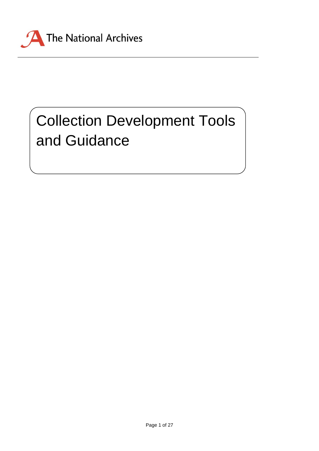

# Collection Development Tools and Guidance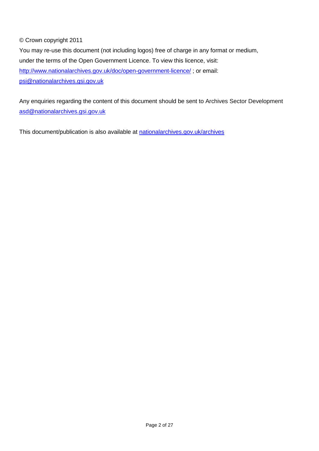# © Crown copyright 2011

You may re-use this document (not including logos) free of charge in any format or medium, under the terms of the Open Government Licence. To view this licence, visit: <http://www.nationalarchives.gov.uk/doc/open-government-licence/> ; or email: [psi@nationalarchives.gsi.gov.uk](mailto:psi@nationalarchives.gsi.gov.uk)

Any enquiries regarding the content of this document should be sent to Archives Sector Development [asd@nationalarchives.gsi.gov.uk](mailto:asd@nationalarchives.gsi.gov.uk)

This document/publication is also available at [nationalarchives.gov.uk/archives](http://www.nationalarchives.gov.uk/archives)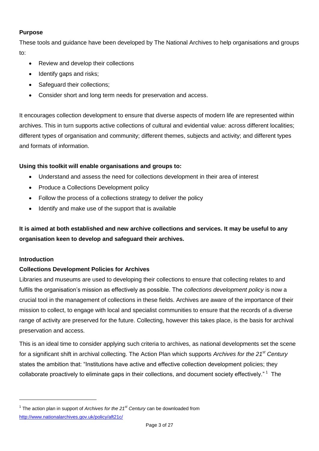#### **Purpose**

These tools and guidance have been developed by The National Archives to help organisations and groups to:

- Review and develop their collections
- Identify gaps and risks:
- Safeguard their collections;
- Consider short and long term needs for preservation and access.

It encourages collection development to ensure that diverse aspects of modern life are represented within archives. This in turn supports active collections of cultural and evidential value: across different localities; different types of organisation and community; different themes, subjects and activity; and different types and formats of information.

# **Using this toolkit will enable organisations and groups to:**

- Understand and assess the need for collections development in their area of interest
- Produce a Collections Development policy
- Follow the process of a collections strategy to deliver the policy
- Identify and make use of the support that is available

**It is aimed at both established and new archive collections and services. It may be useful to any organisation keen to develop and safeguard their archives.**

#### **Introduction**

-

#### **Collections Development Policies for Archives**

Libraries and museums are used to developing their collections to ensure that collecting relates to and fulfils the organisation's mission as effectively as possible. The *collections development policy* is now a crucial tool in the management of collections in these fields. Archives are aware of the importance of their mission to collect, to engage with local and specialist communities to ensure that the records of a diverse range of activity are preserved for the future. Collecting, however this takes place, is the basis for archival preservation and access.

This is an ideal time to consider applying such criteria to archives, as national developments set the scene for a significant shift in archival collecting. The Action Plan which supports *Archives for the 21st Century* states the ambition that: "Institutions have active and effective collection development policies; they collaborate proactively to eliminate gaps in their collections, and document society effectively."<sup>1</sup> The

<sup>&</sup>lt;sup>1</sup> The action plan in support of *Archives for the 21<sup>st</sup> Century* can be downloaded from <http://www.nationalarchives.gov.uk/policy/aft21c/>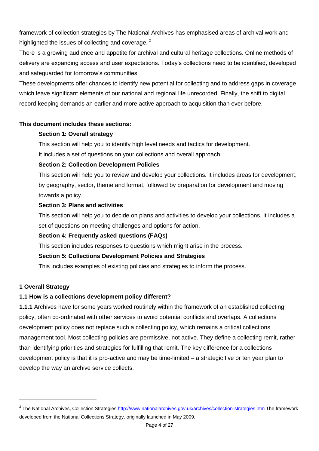framework of collection strategies by The National Archives has emphasised areas of archival work and highlighted the issues of collecting and coverage.<sup>2</sup>

There is a growing audience and appetite for archival and cultural heritage collections. Online methods of delivery are expanding access and user expectations. Today's collections need to be identified, developed and safeguarded for tomorrow's communities.

These developments offer chances to identify new potential for collecting and to address gaps in coverage which leave significant elements of our national and regional life unrecorded. Finally, the shift to digital record-keeping demands an earlier and more active approach to acquisition than ever before.

#### **This document includes these sections:**

#### **Section 1: Overall strategy**

This section will help you to identify high level needs and tactics for development.

It includes a set of questions on your collections and overall approach.

#### **Section 2: Collection Development Policies**

This section will help you to review and develop your collections. It includes areas for development, by geography, sector, theme and format, followed by preparation for development and moving towards a policy.

#### **Section 3: Plans and activities**

This section will help you to decide on plans and activities to develop your collections. It includes a set of questions on meeting challenges and options for action.

#### **Section 4: Frequently asked questions (FAQs)**

This section includes responses to questions which might arise in the process.

#### **Section 5: Collections Development Policies and Strategies**

This includes examples of existing policies and strategies to inform the process.

# **1 Overall Strategy**

-

#### **1.1 How is a collections development policy different?**

**1.1.1** Archives have for some years worked routinely within the framework of an established collecting policy, often co-ordinated with other services to avoid potential conflicts and overlaps. A collections development policy does not replace such a collecting policy, which remains a critical collections management tool. Most collecting policies are permissive, not active. They define a collecting remit, rather than identifying priorities and strategies for fulfilling that remit. The key difference for a collections development policy is that it is pro-active and may be time-limited – a strategic five or ten year plan to develop the way an archive service collects.

<sup>&</sup>lt;sup>2</sup> The National Archives, Collection Strategies<http://www.nationalarchives.gov.uk/archives/collection-strategies.htm> The framework developed from the National Collections Strategy, originally launched in May 2009.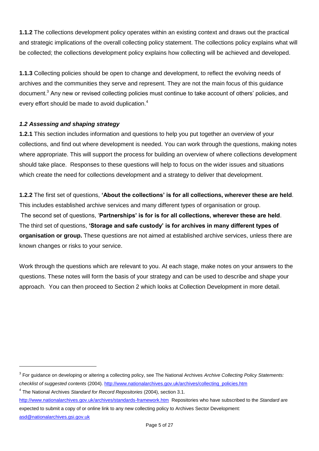**1.1.2** The collections development policy operates within an existing context and draws out the practical and strategic implications of the overall collecting policy statement. The collections policy explains what will be collected; the collections development policy explains how collecting will be achieved and developed.

**1.1.3** Collecting policies should be open to change and development, to reflect the evolving needs of archives and the communities they serve and represent. They are not the main focus of this guidance document.<sup>3</sup> Any new or revised collecting policies must continue to take account of others' policies, and every effort should be made to avoid duplication.<sup>4</sup>

# *1.2 Assessing and shaping strategy*

**1.2.1** This section includes information and questions to help you put together an overview of your collections, and find out where development is needed. You can work through the questions, making notes where appropriate. This will support the process for building an overview of where collections development should take place. Responses to these questions will help to focus on the wider issues and situations which create the need for collections development and a strategy to deliver that development.

**1.2.2** The first set of questions, **'About the collections' is for all collections, wherever these are held**. This includes established archive services and many different types of organisation or group. The second set of questions, '**Partnerships' is for is for all collections, wherever these are held**. The third set of questions, **'Storage and safe custody' is for archives in many different types of organisation or group.** These questions are not aimed at established archive services, unless there are known changes or risks to your service.

Work through the questions which are relevant to you. At each stage, make notes on your answers to the questions. These notes will form the basis of your strategy and can be used to describe and shape your approach. You can then proceed to Section 2 which looks at Collection Development in more detail.

-

<http://www.nationalarchives.gov.uk/archives/standards-framework.htm>Repositories who have subscribed to the *Standard* are expected to submit a copy of or online link to any new collecting policy to Archives Sector Development: [asd@nationalarchives.gsi.gov.uk](mailto:asd@nationalarchives.gsi.gov.uk)

<sup>3</sup> For guidance on developing or altering a collecting policy, see The National Archives *Archive Collecting Policy Statements: checklist of suggested contents* (2004)[. http://www.nationalarchives.gov.uk/archives/collecting\\_policies.htm](http://www.nationalarchives.gov.uk/archives/collecting_policies.htm)

<sup>4</sup> The National Archives *Standard for Record Repositories* (2004), section 3.1.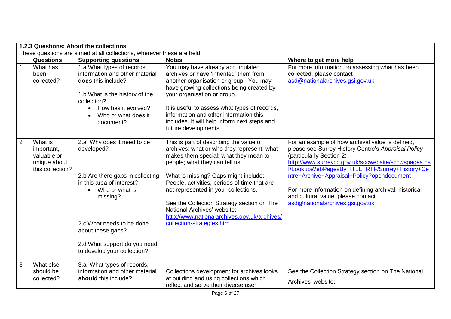|                | 1.2.3 Questions: About the collections<br>These questions are aimed at all collections, wherever these are held. |                                                                                                                                                                                                                                                            |                                                                                                                                                                                                                                                                                                                                                                                                                                                            |                                                                                                                                                                                                                                                                                                                                                                                                                             |
|----------------|------------------------------------------------------------------------------------------------------------------|------------------------------------------------------------------------------------------------------------------------------------------------------------------------------------------------------------------------------------------------------------|------------------------------------------------------------------------------------------------------------------------------------------------------------------------------------------------------------------------------------------------------------------------------------------------------------------------------------------------------------------------------------------------------------------------------------------------------------|-----------------------------------------------------------------------------------------------------------------------------------------------------------------------------------------------------------------------------------------------------------------------------------------------------------------------------------------------------------------------------------------------------------------------------|
|                | <b>Questions</b>                                                                                                 | <b>Supporting questions</b>                                                                                                                                                                                                                                | <b>Notes</b>                                                                                                                                                                                                                                                                                                                                                                                                                                               | Where to get more help                                                                                                                                                                                                                                                                                                                                                                                                      |
| 1              | What has<br>been<br>collected?                                                                                   | 1.a What types of records,<br>information and other material<br>does this include?<br>1.b What is the history of the<br>collection?<br>How has it evolved?<br>Who or what does it<br>document?                                                             | You may have already accumulated<br>archives or have 'inherited' them from<br>another organisation or group. You may<br>have growing collections being created by<br>your organisation or group.<br>It is useful to assess what types of records,<br>information and other information this<br>includes. It will help inform next steps and<br>future developments.                                                                                        | For more information on assessing what has been<br>collected, please contact<br>asd@nationalarchives.gsi.gov.uk                                                                                                                                                                                                                                                                                                             |
| $\overline{2}$ | What is<br>important,<br>valuable or<br>unique about<br>this collection?                                         | 2.a Why does it need to be<br>developed?<br>2.b Are there gaps in collecting<br>in this area of interest?<br>• Who or what is<br>missing?<br>2.c What needs to be done<br>about these gaps?<br>2.d What support do you need<br>to develop your collection? | This is part of describing the value of<br>archives: what or who they represent; what<br>makes them special; what they mean to<br>people; what they can tell us.<br>What is missing? Gaps might include:<br>People, activities, periods of time that are<br>not represented in your collections.<br>See the Collection Strategy section on The<br>National Archives' website:<br>http://www.nationalarchives.gov.uk/archives/<br>collection-strategies.htm | For an example of how archival value is defined,<br>please see Surrey History Centre's Appraisal Policy<br>(particularly Section 2)<br>http://www.surreycc.gov.uk/sccwebsite/sccwspages.ns<br>f/LookupWebPagesByTITLE RTF/Surrey+History+Ce<br>ntre+Archive+Appraisal+Policy?opendocument<br>For more information on defining archival, historical<br>and cultural value, please contact<br>asd@nationalarchives.gsi.gov.uk |
| 3              | What else<br>should be<br>collected?                                                                             | 3.a What types of records,<br>information and other material<br>should this include?                                                                                                                                                                       | Collections development for archives looks<br>at building and using collections which<br>reflect and serve their diverse user                                                                                                                                                                                                                                                                                                                              | See the Collection Strategy section on The National<br>Archives' website:                                                                                                                                                                                                                                                                                                                                                   |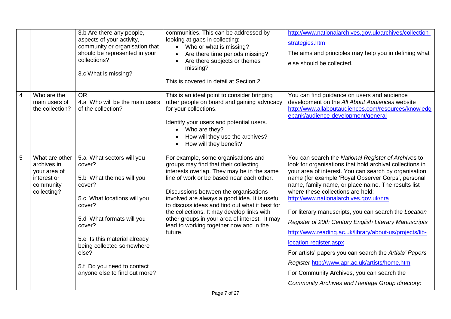|   |                                                                                          | 3.b Are there any people,<br>aspects of your activity,<br>community or organisation that<br>should be represented in your<br>collections?<br>3.c What is missing?                                                                                                                              | communities. This can be addressed by<br>looking at gaps in collecting:<br>• Who or what is missing?<br>Are there time periods missing?<br>Are there subjects or themes<br>missing?<br>This is covered in detail at Section 2.                                                                                                                                                                                                                                           | http://www.nationalarchives.gov.uk/archives/collection-<br>strategies.htm<br>The aims and principles may help you in defining what<br>else should be collected.                                                                                                                                                                                                                                                                                                                                                                                                                                                                                                                                                                                                                          |
|---|------------------------------------------------------------------------------------------|------------------------------------------------------------------------------------------------------------------------------------------------------------------------------------------------------------------------------------------------------------------------------------------------|--------------------------------------------------------------------------------------------------------------------------------------------------------------------------------------------------------------------------------------------------------------------------------------------------------------------------------------------------------------------------------------------------------------------------------------------------------------------------|------------------------------------------------------------------------------------------------------------------------------------------------------------------------------------------------------------------------------------------------------------------------------------------------------------------------------------------------------------------------------------------------------------------------------------------------------------------------------------------------------------------------------------------------------------------------------------------------------------------------------------------------------------------------------------------------------------------------------------------------------------------------------------------|
| 4 | Who are the<br>main users of<br>the collection?                                          | <b>OR</b><br>4.a Who will be the main users<br>of the collection?                                                                                                                                                                                                                              | This is an ideal point to consider bringing<br>other people on board and gaining advocacy<br>for your collections.<br>Identify your users and potential users.<br>Who are they?<br>How will they use the archives?<br>How will they benefit?                                                                                                                                                                                                                             | You can find guidance on users and audience<br>development on the All About Audiences website<br>http://www.allaboutaudiences.com/resources/knowledg<br>ebank/audience-development/general                                                                                                                                                                                                                                                                                                                                                                                                                                                                                                                                                                                               |
| 5 | What are other<br>archives in<br>your area of<br>interest or<br>community<br>collecting? | 5.a What sectors will you<br>cover?<br>5.b What themes will you<br>cover?<br>5.c What locations will you<br>cover?<br>5.d What formats will you<br>cover?<br>5.e Is this material already<br>being collected somewhere<br>else?<br>5.f Do you need to contact<br>anyone else to find out more? | For example, some organisations and<br>groups may find that their collecting<br>interests overlap. They may be in the same<br>line of work or be based near each other.<br>Discussions between the organisations<br>involved are always a good idea. It is useful<br>to discuss ideas and find out what it best for<br>the collections. It may develop links with<br>other groups in your area of interest. It may<br>lead to working together now and in the<br>future. | You can search the National Register of Archives to<br>look for organisations that hold archival collections in<br>your area of interest. You can search by organisation<br>name (for example 'Royal Observer Corps', personal<br>name, family name, or place name. The results list<br>where these collections are held:<br>http://www.nationalarchives.gov.uk/nra<br>For literary manuscripts, you can search the Location<br>Register of 20th Century English Literary Manuscripts<br>http://www.reading.ac.uk/library/about-us/projects/lib-<br>location-register.aspx<br>For artists' papers you can search the Artists' Papers<br>Register http://www.apr.ac.uk/artists/home.htm<br>For Community Archives, you can search the<br>Community Archives and Heritage Group directory: |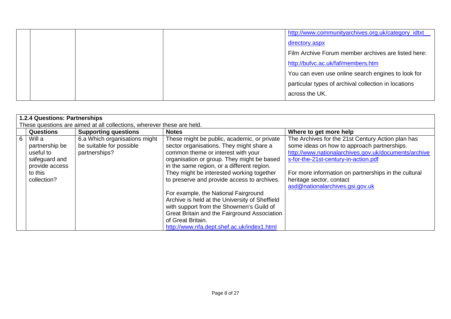|  | http://www.communityarchives.org.uk/category_idtxt   |  |
|--|------------------------------------------------------|--|
|  | directory.aspx                                       |  |
|  | Film Archive Forum member archives are listed here:  |  |
|  | http://bufvc.ac.uk/faf/members.htm                   |  |
|  | You can even use online search engines to look for   |  |
|  | particular types of archival collection in locations |  |
|  | across the UK.                                       |  |

|                | 1.2.4 Questions: Partnerships                                                                      |                                                                            |                                                                                                                                                                                                                                                                                                                       |                                                                                                                                                                                                                                                                                                                         |
|----------------|----------------------------------------------------------------------------------------------------|----------------------------------------------------------------------------|-----------------------------------------------------------------------------------------------------------------------------------------------------------------------------------------------------------------------------------------------------------------------------------------------------------------------|-------------------------------------------------------------------------------------------------------------------------------------------------------------------------------------------------------------------------------------------------------------------------------------------------------------------------|
|                |                                                                                                    | These questions are aimed at all collections, wherever these are held.     |                                                                                                                                                                                                                                                                                                                       |                                                                                                                                                                                                                                                                                                                         |
|                | <b>Questions</b>                                                                                   | <b>Supporting questions</b>                                                | <b>Notes</b>                                                                                                                                                                                                                                                                                                          | Where to get more help                                                                                                                                                                                                                                                                                                  |
| 6 <sup>1</sup> | Will a<br>partnership be<br>useful to<br>safeguard and<br>provide access<br>to this<br>collection? | 6.a Which organisations might<br>be suitable for possible<br>partnerships? | These might be public, academic, or private<br>sector organisations. They might share a<br>common theme or interest with your<br>organisation or group. They might be based<br>in the same region, or a different region.<br>They might be interested working together<br>to preserve and provide access to archives. | The Archives for the 21st Century Action plan has<br>some ideas on how to approach partnerships.<br>http://www.nationalarchives.gov.uk/documents/archive<br>s-for-the-21st-century-in-action.pdf<br>For more information on partnerships in the cultural<br>heritage sector, contact<br>asd@nationalarchives.gsi.gov.uk |
|                |                                                                                                    |                                                                            | For example, the National Fairground<br>Archive is held at the University of Sheffield<br>with support from the Showmen's Guild of<br>Great Britain and the Fairground Association<br>of Great Britain.<br>http://www.nfa.dept.shef.ac.uk/index1.html                                                                 |                                                                                                                                                                                                                                                                                                                         |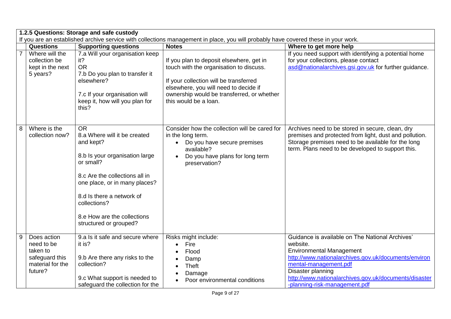|                | 1.2.5 Questions: Storage and safe custody<br>If you are an established archive service with collections management in place, you will probably have covered these in your work. |                                                                                                                                                                                                                                                                                |                                                                                                                                                                                                                                               |                                                                                                                                                                                                                                                                                                |
|----------------|---------------------------------------------------------------------------------------------------------------------------------------------------------------------------------|--------------------------------------------------------------------------------------------------------------------------------------------------------------------------------------------------------------------------------------------------------------------------------|-----------------------------------------------------------------------------------------------------------------------------------------------------------------------------------------------------------------------------------------------|------------------------------------------------------------------------------------------------------------------------------------------------------------------------------------------------------------------------------------------------------------------------------------------------|
|                | Questions                                                                                                                                                                       | <b>Supporting questions</b>                                                                                                                                                                                                                                                    | <b>Notes</b>                                                                                                                                                                                                                                  | Where to get more help                                                                                                                                                                                                                                                                         |
| $\overline{7}$ | Where will the<br>collection be<br>kept in the next<br>5 years?                                                                                                                 | 7.a Will your organisation keep<br>it?<br><b>OR</b><br>7.b Do you plan to transfer it<br>elsewhere?<br>7.c If your organisation will<br>keep it, how will you plan for<br>this?                                                                                                | If you plan to deposit elsewhere, get in<br>touch with the organisation to discuss.<br>If your collection will be transferred<br>elsewhere, you will need to decide if<br>ownership would be transferred, or whether<br>this would be a loan. | If you need support with identifying a potential home<br>for your collections, please contact<br>asd@nationalarchives.gsi.gov.uk for further guidance.                                                                                                                                         |
| 8              | Where is the<br>collection now?                                                                                                                                                 | <b>OR</b><br>8.a Where will it be created<br>and kept?<br>8.b Is your organisation large<br>or small?<br>8.c Are the collections all in<br>one place, or in many places?<br>8.d Is there a network of<br>collections?<br>8.e How are the collections<br>structured or grouped? | Consider how the collection will be cared for<br>in the long term.<br>Do you have secure premises<br>available?<br>Do you have plans for long term<br>preservation?                                                                           | Archives need to be stored in secure, clean, dry<br>premises and protected from light, dust and pollution.<br>Storage premises need to be available for the long<br>term. Plans need to be developed to support this.                                                                          |
| 9              | Does action<br>need to be<br>taken to<br>safeguard this<br>material for the<br>future?                                                                                          | 9.a Is it safe and secure where<br>it is?<br>9.b Are there any risks to the<br>collection?<br>9.c What support is needed to<br>safeguard the collection for the                                                                                                                | Risks might include:<br>Fire<br>Flood<br>Damp<br><b>Theft</b><br>Damage<br>Poor environmental conditions                                                                                                                                      | Guidance is available on The National Archives'<br>website.<br><b>Environmental Management</b><br>http://www.nationalarchives.gov.uk/documents/environ<br>mental-management.pdf<br>Disaster planning<br>http://www.nationalarchives.gov.uk/documents/disaster<br>-planning-risk-management.pdf |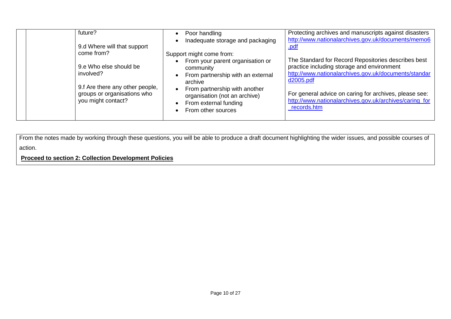| future?                                                                | Poor handling<br>Inadequate storage and packaging                                                             | Protecting archives and manuscripts against disasters<br>http://www.nationalarchives.gov.uk/documents/memo6                                                            |
|------------------------------------------------------------------------|---------------------------------------------------------------------------------------------------------------|------------------------------------------------------------------------------------------------------------------------------------------------------------------------|
| 9.d Where will that support<br>come from?                              | Support might come from:                                                                                      | .pdf                                                                                                                                                                   |
| 9.e Who else should be<br>involved?<br>9.f Are there any other people, | From your parent organisation or<br>community<br>From partnership with an external<br>archive                 | The Standard for Record Repositories describes best<br>practice including storage and environment<br>http://www.nationalarchives.gov.uk/documents/standar<br>d2005.pdf |
| groups or organisations who<br>you might contact?                      | From partnership with another<br>organisation (not an archive)<br>From external funding<br>From other sources | For general advice on caring for archives, please see:<br>http://www.nationalarchives.gov.uk/archives/caring_for<br>records.htm                                        |

From the notes made by working through these questions, you will be able to produce a draft document highlighting the wider issues, and possible courses of action.

**Proceed to section 2: Collection Development Policies**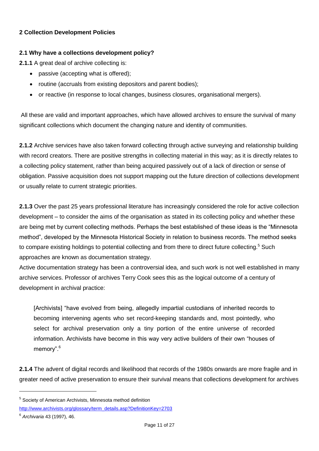# **2 Collection Development Policies**

# **2.1 Why have a collections development policy?**

**2.1.1** A great deal of archive collecting is:

- passive (accepting what is offered):
- routine (accruals from existing depositors and parent bodies);
- or reactive (in response to local changes, business closures, organisational mergers).

All these are valid and important approaches, which have allowed archives to ensure the survival of many significant collections which document the changing nature and identity of communities.

**2.1.2** Archive services have also taken forward collecting through active surveying and relationship building with record creators. There are positive strengths in collecting material in this way; as it is directly relates to a collecting policy statement, rather than being acquired passively out of a lack of direction or sense of obligation. Passive acquisition does not support mapping out the future direction of collections development or usually relate to current strategic priorities.

**2.1.3** Over the past 25 years professional literature has increasingly considered the role for active collection development – to consider the aims of the organisation as stated in its collecting policy and whether these are being met by current collecting methods. Perhaps the best established of these ideas is the "Minnesota method", developed by the Minnesota Historical Society in relation to business records. The method seeks to compare existing holdings to potential collecting and from there to direct future collecting.<sup>5</sup> Such approaches are known as documentation strategy.

Active documentation strategy has been a controversial idea, and such work is not well established in many archive services. Professor of archives Terry Cook sees this as the logical outcome of a century of development in archival practice:

[Archivists] "have evolved from being, allegedly impartial custodians of inherited records to becoming intervening agents who set record-keeping standards and, most pointedly, who select for archival preservation only a tiny portion of the entire universe of recorded information. Archivists have become in this way very active builders of their own "houses of memory".<sup>6</sup>

**2.1.4** The advent of digital records and likelihood that records of the 1980s onwards are more fragile and in greater need of active preservation to ensure their survival means that collections development for archives

-

<sup>&</sup>lt;sup>5</sup> Society of American Archivists, Minnesota method definition

[http://www.archivists.org/glossary/term\\_details.asp?DefinitionKey=2703](http://www.archivists.org/glossary/term_details.asp?DefinitionKey=2703) 

<sup>6</sup> *Archivaria* 43 (1997), 46.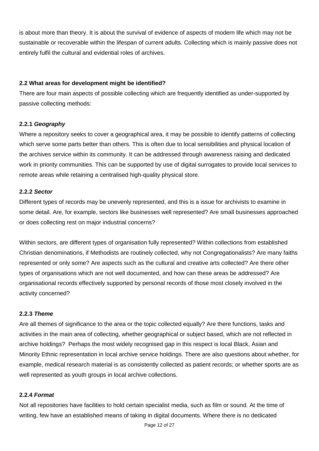is about more than theory. It is about the survival of evidence of aspects of modern life which may not be sustainable or recoverable within the lifespan of current adults. Collecting which is mainly passive does not entirely fulfil the cultural and evidential roles of archives.

#### **2.2 What areas for development might be identified?**

There are four main aspects of possible collecting which are frequently identified as under-supported by passive collecting methods:

#### **2.2.1** *Geography*

Where a repository seeks to cover a geographical area, it may be possible to identify patterns of collecting which serve some parts better than others. This is often due to local sensibilities and physical location of the archives service within its community. It can be addressed through awareness raising and dedicated work in priority communities. This can be supported by use of digital surrogates to provide local services to remote areas while retaining a centralised high-quality physical store.

#### **2.2.2** *Sector*

Different types of records may be unevenly represented, and this is a issue for archivists to examine in some detail. Are, for example, sectors like businesses well represented? Are small businesses approached or does collecting rest on major industrial concerns?

Within sectors, are different types of organisation fully represented? Within collections from established Christian denominations, if Methodists are routinely collected, why not Congregationalists? Are many faiths represented or only some? Are aspects such as the cultural and creative arts collected? Are there other types of organisations which are not well documented, and how can these areas be addressed? Are organisational records effectively supported by personal records of those most closely involved in the activity concerned?

#### **2.2.3** *Theme*

Are all themes of significance to the area or the topic collected equally? Are there functions, tasks and activities in the main area of collecting, whether geographical or subject based, which are not reflected in archive holdings? Perhaps the most widely recognised gap in this respect is local Black, Asian and Minority Ethnic representation in local archive service holdings. There are also questions about whether, for example, medical research material is as consistently collected as patient records; or whether sports are as well represented as youth groups in local archive collections.

#### **2.2.4** *Format*

Not all repositories have facilities to hold certain specialist media, such as film or sound. At the time of writing, few have an established means of taking in digital documents. Where there is no dedicated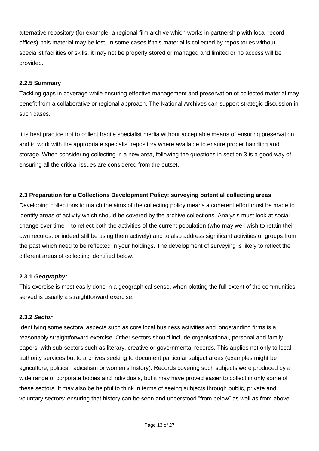alternative repository (for example, a regional film archive which works in partnership with local record offices), this material may be lost. In some cases if this material is collected by repositories without specialist facilities or skills, it may not be properly stored or managed and limited or no access will be provided.

## **2.2.5 Summary**

Tackling gaps in coverage while ensuring effective management and preservation of collected material may benefit from a collaborative or regional approach. The National Archives can support strategic discussion in such cases.

It is best practice not to collect fragile specialist media without acceptable means of ensuring preservation and to work with the appropriate specialist repository where available to ensure proper handling and storage. When considering collecting in a new area, following the questions in section 3 is a good way of ensuring all the critical issues are considered from the outset.

# **2.3 Preparation for a Collections Development Policy: surveying potential collecting areas**

Developing collections to match the aims of the collecting policy means a coherent effort must be made to identify areas of activity which should be covered by the archive collections. Analysis must look at social change over time – to reflect both the activities of the current population (who may well wish to retain their own records, or indeed still be using them actively) and to also address significant activities or groups from the past which need to be reflected in your holdings. The development of surveying is likely to reflect the different areas of collecting identified below.

# **2.3.1** *Geography:*

This exercise is most easily done in a geographical sense, when plotting the full extent of the communities served is usually a straightforward exercise.

#### **2.3.2** *Sector*

Identifying some sectoral aspects such as core local business activities and longstanding firms is a reasonably straightforward exercise. Other sectors should include organisational, personal and family papers, with sub-sectors such as literary, creative or governmental records. This applies not only to local authority services but to archives seeking to document particular subject areas (examples might be agriculture, political radicalism or women's history). Records covering such subjects were produced by a wide range of corporate bodies and individuals, but it may have proved easier to collect in only some of these sectors. It may also be helpful to think in terms of seeing subjects through public, private and voluntary sectors: ensuring that history can be seen and understood "from below" as well as from above.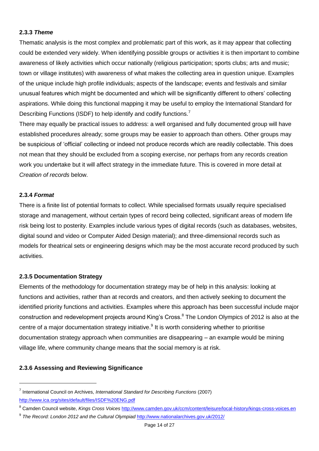#### **2.3.3** *Theme*

Thematic analysis is the most complex and problematic part of this work, as it may appear that collecting could be extended very widely. When identifying possible groups or activities it is then important to combine awareness of likely activities which occur nationally (religious participation; sports clubs; arts and music; town or village institutes) with awareness of what makes the collecting area in question unique. Examples of the unique include high profile individuals; aspects of the landscape; events and festivals and similar unusual features which might be documented and which will be significantly different to others' collecting aspirations. While doing this functional mapping it may be useful to employ the International Standard for Describing Functions (ISDF) to help identify and codify functions.<sup>7</sup>

There may equally be practical issues to address: a well organised and fully documented group will have established procedures already; some groups may be easier to approach than others. Other groups may be suspicious of 'official' collecting or indeed not produce records which are readily collectable. This does not mean that they should be excluded from a scoping exercise, nor perhaps from any records creation work you undertake but it will affect strategy in the immediate future. This is covered in more detail at *Creation of records* below.

#### **2.3.4** *Format*

-

There is a finite list of potential formats to collect. While specialised formats usually require specialised storage and management, without certain types of record being collected, significant areas of modern life risk being lost to posterity. Examples include various types of digital records (such as databases, websites, digital sound and video or Computer Aided Design material); and three-dimensional records such as models for theatrical sets or engineering designs which may be the most accurate record produced by such activities.

#### **2.3.5 Documentation Strategy**

Elements of the methodology for documentation strategy may be of help in this analysis: looking at functions and activities, rather than at records and creators, and then actively seeking to document the identified priority functions and activities. Examples where this approach has been successful include major construction and redevelopment projects around King's Cross.<sup>8</sup> The London Olympics of 2012 is also at the centre of a major documentation strategy initiative.<sup>9</sup> It is worth considering whether to prioritise documentation strategy approach when communities are disappearing – an example would be mining village life, where community change means that the social memory is at risk.

# **2.3.6 Assessing and Reviewing Significance**

<sup>7</sup> International Council on Archives, *International Standard for Describing Functions* (2007) <http://www.ica.org/sites/default/files/ISDF%20ENG.pdf>

<sup>8</sup> Camden Council website, *Kings Cross Voices* <http://www.camden.gov.uk/ccm/content/leisure/local-history/kings-cross-voices.en>

<sup>&</sup>lt;sup>9</sup> The Record: London 2012 and the Cultural Olympiad <http://www.nationalarchives.gov.uk/2012/>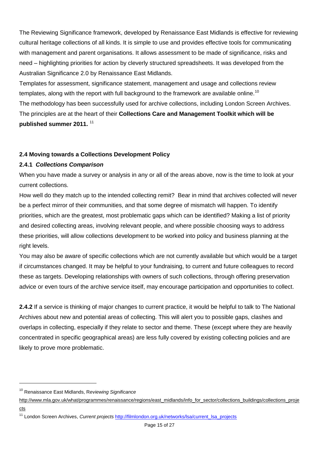The Reviewing Significance framework, developed by Renaissance East Midlands is effective for reviewing cultural heritage collections of all kinds. It is simple to use and provides effective tools for communicating with management and parent organisations. It allows assessment to be made of significance, risks and need – highlighting priorities for action by cleverly structured spreadsheets. It was developed from the Australian Significance 2.0 by Renaissance East Midlands.

Templates for assessment, significance statement, management and usage and collections review templates, along with the report with full background to the framework are available online.<sup>10</sup> The methodology has been successfully used for archive collections, including London Screen Archives. The principles are at the heart of their **Collections Care and Management Toolkit which will be published summer 2011.** <sup>11</sup>

# **2.4 Moving towards a Collections Development Policy**

# **2.4.1** *Collections Comparison*

When you have made a survey or analysis in any or all of the areas above, now is the time to look at your current collections.

How well do they match up to the intended collecting remit? Bear in mind that archives collected will never be a perfect mirror of their communities, and that some degree of mismatch will happen. To identify priorities, which are the greatest, most problematic gaps which can be identified? Making a list of priority and desired collecting areas, involving relevant people, and where possible choosing ways to address these priorities, will allow collections development to be worked into policy and business planning at the right levels.

You may also be aware of specific collections which are not currently available but which would be a target if circumstances changed. It may be helpful to your fundraising, to current and future colleagues to record these as targets. Developing relationships with owners of such collections, through offering preservation advice or even tours of the archive service itself, may encourage participation and opportunities to collect.

**2.4.2** If a service is thinking of major changes to current practice, it would be helpful to talk to The National Archives about new and potential areas of collecting. This will alert you to possible gaps, clashes and overlaps in collecting, especially if they relate to sector and theme. These (except where they are heavily concentrated in specific geographical areas) are less fully covered by existing collecting policies and are likely to prove more problematic.

[cts](http://www.mla.gov.uk/what/programmes/renaissance/regions/east_midlands/info_for_sector/collections_buildings/collections_projects)

-

<sup>10</sup> Renaissance East Midlands, R*eviewing Significance* 

[http://www.mla.gov.uk/what/programmes/renaissance/regions/east\\_midlands/info\\_for\\_sector/collections\\_buildings/collections\\_proje](http://www.mla.gov.uk/what/programmes/renaissance/regions/east_midlands/info_for_sector/collections_buildings/collections_projects)

<sup>11</sup> London Screen Archives, *Current projects* [http://filmlondon.org.uk/networks/lsa/current\\_lsa\\_projects](http://filmlondon.org.uk/networks/lsa/current_lsa_projects)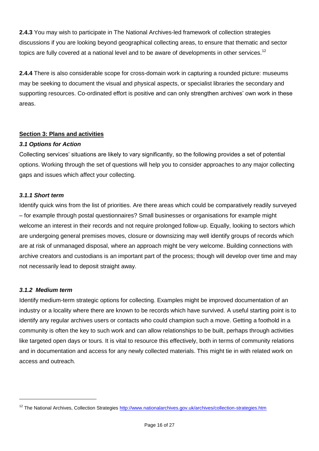**2.4.3** You may wish to participate in The National Archives-led framework of collection strategies discussions if you are looking beyond geographical collecting areas, to ensure that thematic and sector topics are fully covered at a national level and to be aware of developments in other services.<sup>12</sup>

**2.4.4** There is also considerable scope for cross-domain work in capturing a rounded picture: museums may be seeking to document the visual and physical aspects, or specialist libraries the secondary and supporting resources. Co-ordinated effort is positive and can only strengthen archives' own work in these areas.

# **Section 3: Plans and activities**

# *3.1 Options for Action*

Collecting services' situations are likely to vary significantly, so the following provides a set of potential options. Working through the set of questions will help you to consider approaches to any major collecting gaps and issues which affect your collecting.

# *3.1.1 Short term*

Identify quick wins from the list of priorities. Are there areas which could be comparatively readily surveyed – for example through postal questionnaires? Small businesses or organisations for example might welcome an interest in their records and not require prolonged follow-up. Equally, looking to sectors which are undergoing general premises moves, closure or downsizing may well identify groups of records which are at risk of unmanaged disposal, where an approach might be very welcome. Building connections with archive creators and custodians is an important part of the process; though will develop over time and may not necessarily lead to deposit straight away.

# *3.1.2 Medium term*

-

Identify medium-term strategic options for collecting. Examples might be improved documentation of an industry or a locality where there are known to be records which have survived. A useful starting point is to identify any regular archives users or contacts who could champion such a move. Getting a foothold in a community is often the key to such work and can allow relationships to be built, perhaps through activities like targeted open days or tours. It is vital to resource this effectively, both in terms of community relations and in documentation and access for any newly collected materials. This might tie in with related work on access and outreach.

<sup>&</sup>lt;sup>12</sup> The National Archives, Collection Strategies<http://www.nationalarchives.gov.uk/archives/collection-strategies.htm>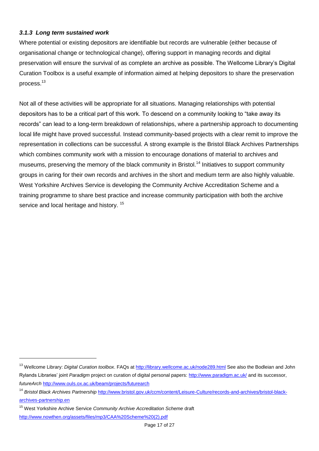# *3.1.3 Long term sustained work*

Where potential or existing depositors are identifiable but records are vulnerable (either because of organisational change or technological change), offering support in managing records and digital preservation will ensure the survival of as complete an archive as possible. The Wellcome Library's Digital Curation Toolbox is a useful example of information aimed at helping depositors to share the preservation process.<sup>13</sup>

Not all of these activities will be appropriate for all situations. Managing relationships with potential depositors has to be a critical part of this work. To descend on a community looking to "take away its records" can lead to a long-term breakdown of relationships, where a partnership approach to documenting local life might have proved successful. Instead community-based projects with a clear remit to improve the representation in collections can be successful. A strong example is the Bristol Black Archives Partnerships which combines community work with a mission to encourage donations of material to archives and museums, preserving the memory of the black community in Bristol.<sup>14</sup> Initiatives to support community groups in caring for their own records and archives in the short and medium term are also highly valuable. West Yorkshire Archives Service is developing the Community Archive Accreditation Scheme and a training programme to share best practice and increase community participation with both the archive service and local heritage and history.<sup>15</sup>

 $\overline{a}$ 

<sup>13</sup> Wellcome Library: *Digital Curation toolbox*. FAQs at<http://library.wellcome.ac.uk/node289.html> See also the Bodleian and John Rylands Libraries' joint *Paradigm* project on curation of digital personal papers:<http://www.paradigm.ac.uk/> and its successor, *futureArch* <http://www.ouls.ox.ac.uk/beam/projects/futurearch>

<sup>&</sup>lt;sup>14</sup> Bristol Black Archives Partnership [http://www.bristol.gov.uk/ccm/content/Leisure-Culture/records-and-archives/bristol-black](http://www.bristol.gov.uk/ccm/content/Leisure-Culture/records-and-archives/bristol-black-archives-partnership.en)[archives-partnership.en](http://www.bristol.gov.uk/ccm/content/Leisure-Culture/records-and-archives/bristol-black-archives-partnership.en)

<sup>15</sup> West Yorkshire Archive Service *Community Archive Accreditation Scheme* draft

[http://www.nowthen.org/assets/files/mp3/CAA%20Scheme%20\(2\).pdf](http://www.nowthen.org/assets/files/mp3/CAA%20Scheme%20(2).pdf)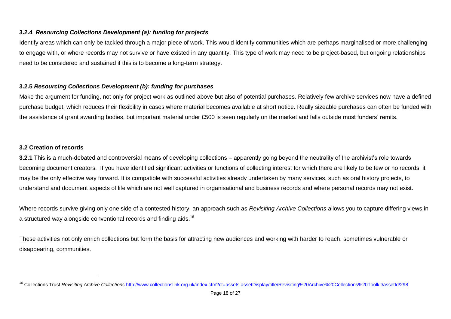# **3.2.4** *Resourcing Collections Development (a): funding for projects*

Identify areas which can only be tackled through a major piece of work. This would identify communities which are perhaps marginalised or more challenging to engage with, or where records may not survive or have existed in any quantity. This type of work may need to be project-based, but ongoing relationships need to be considered and sustained if this is to become a long-term strategy.

# **3.2.5** *Resourcing Collections Development (b): funding for purchases*

Make the argument for funding, not only for project work as outlined above but also of potential purchases. Relatively few archive services now have a defined purchase budget, which reduces their flexibility in cases where material becomes available at short notice. Really sizeable purchases can often be funded with the assistance of grant awarding bodies, but important material under £500 is seen regularly on the market and falls outside most funders' remits.

# **3.2 Creation of records**

**3.2.1** This is a much-debated and controversial means of developing collections – apparently going beyond the neutrality of the archivist's role towards becoming document creators. If you have identified significant activities or functions of collecting interest for which there are likely to be few or no records, it may be the only effective way forward. It is compatible with successful activities already undertaken by many services, such as oral history projects, to understand and document aspects of life which are not well captured in organisational and business records and where personal records may not exist.

Where records survive giving only one side of a contested history, an approach such as *Revisiting Archive Collections* allows you to capture differing views in a structured way alongside conventional records and finding aids.<sup>16</sup>

These activities not only enrich collections but form the basis for attracting new audiences and working with harder to reach, sometimes vulnerable or disappearing, communities.

<sup>16</sup> Collections Trust *Revisiting Archive Collections* <http://www.collectionslink.org.uk/index.cfm?ct=assets.assetDisplay/title/Revisiting%20Archive%20Collections%20Toolkit/assetId/298>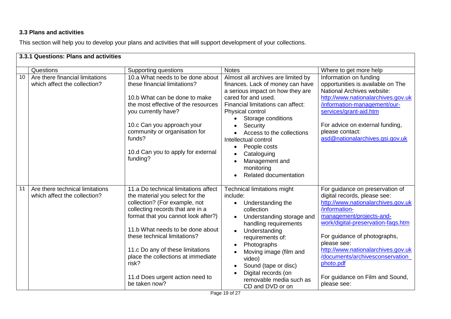# **3.3 Plans and activities**

This section will help you to develop your plans and activities that will support development of your collections.

|    | 3.3.1 Questions: Plans and activities                           |                                                                                                                                                                                                                                                                                                                                                                                                |                                                                                                                                                                                                                                                                                                                                                                                        |                                                                                                                                                                                                                                                                                                                                                                                 |
|----|-----------------------------------------------------------------|------------------------------------------------------------------------------------------------------------------------------------------------------------------------------------------------------------------------------------------------------------------------------------------------------------------------------------------------------------------------------------------------|----------------------------------------------------------------------------------------------------------------------------------------------------------------------------------------------------------------------------------------------------------------------------------------------------------------------------------------------------------------------------------------|---------------------------------------------------------------------------------------------------------------------------------------------------------------------------------------------------------------------------------------------------------------------------------------------------------------------------------------------------------------------------------|
|    | Questions                                                       | Supporting questions                                                                                                                                                                                                                                                                                                                                                                           | <b>Notes</b>                                                                                                                                                                                                                                                                                                                                                                           | Where to get more help                                                                                                                                                                                                                                                                                                                                                          |
| 10 | Are there financial limitations<br>which affect the collection? | 10.a What needs to be done about<br>these financial limitations?<br>10.b What can be done to make<br>the most effective of the resources<br>you currently have?<br>10.c Can you approach your<br>community or organisation for<br>funds?<br>10.d Can you to apply for external<br>funding?                                                                                                     | Almost all archives are limited by<br>finances. Lack of money can have<br>a serious impact on how they are<br>cared for and used.<br>Financial limitations can affect:<br>Physical control<br>Storage conditions<br>Security<br>Access to the collections<br>Intellectual control<br>People costs<br>$\bullet$<br>Cataloguing<br>Management and<br>monitoring<br>Related documentation | Information on funding<br>opportunities is available on The<br>National Archives website:<br>http://www.nationalarchives.gov.uk<br>/information-management/our-<br>services/grant-aid.htm<br>For advice on external funding,<br>please contact:<br>asd@nationalarchives.gsi.gov.uk                                                                                              |
| 11 | Are there technical limitations<br>which affect the collection? | 11.a Do technical limitations affect<br>the material you select for the<br>collection? (For example, not<br>collecting records that are in a<br>format that you cannot look after?)<br>11.b What needs to be done about<br>these technical limitations?<br>11.c Do any of these limitations<br>place the collections at immediate<br>risk?<br>11.d Does urgent action need to<br>be taken now? | <b>Technical limitations might</b><br>include:<br>Understanding the<br>$\bullet$<br>collection<br>Understanding storage and<br>handling requirements<br>Understanding<br>requirements of:<br>Photographs<br>Moving image (film and<br>video)<br>Sound (tape or disc)<br>Digital records (on<br>removable media such as<br>CD and DVD or on                                             | For guidance on preservation of<br>digital records, please see:<br>http://www.nationalarchives.gov.uk<br>/information-<br>management/projects-and-<br>work/digital-preservation-fags.htm<br>For guidance of photographs,<br>please see:<br>http://www.nationalarchives.gov.uk<br>/documents/archivesconservation<br>photo.pdf<br>For guidance on Film and Sound,<br>please see: |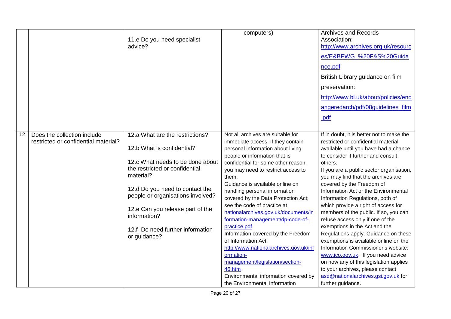|    |                                      | 11.e Do you need specialist<br>advice?                                                           | computers)                                                                                                                                                                           | <b>Archives and Records</b><br>Association:<br>http://www.archives.org.uk/resourc<br>es/E&BPWG %20F&S%20Guida<br>nce.pdf<br>British Library guidance on film<br>preservation:<br>http://www.bl.uk/about/policies/end<br>angeredarch/pdf/08guidelines_film |
|----|--------------------------------------|--------------------------------------------------------------------------------------------------|--------------------------------------------------------------------------------------------------------------------------------------------------------------------------------------|-----------------------------------------------------------------------------------------------------------------------------------------------------------------------------------------------------------------------------------------------------------|
| 12 | Does the collection include          | 12.a What are the restrictions?                                                                  | Not all archives are suitable for                                                                                                                                                    | <u>.pdf</u><br>If in doubt, it is better not to make the                                                                                                                                                                                                  |
|    | restricted or confidential material? | 12.b What is confidential?<br>12.c What needs to be done about<br>the restricted or confidential | immediate access. If they contain<br>personal information about living<br>people or information that is<br>confidential for some other reason,<br>you may need to restrict access to | restricted or confidential material<br>available until you have had a chance<br>to consider it further and consult<br>others.<br>If you are a public sector organisation,                                                                                 |
|    |                                      | material?<br>12.d Do you need to contact the<br>people or organisations involved?                | them.<br>Guidance is available online on<br>handling personal information<br>covered by the Data Protection Act;                                                                     | you may find that the archives are<br>covered by the Freedom of<br>Information Act or the Environmental<br>Information Regulations, both of                                                                                                               |
|    |                                      | 12.e Can you release part of the<br>information?                                                 | see the code of practice at<br>nationalarchives.gov.uk/documents/in<br>formation-management/dp-code-of-<br>practice.pdf                                                              | which provide a right of access for<br>members of the public. If so, you can<br>refuse access only if one of the<br>exemptions in the Act and the                                                                                                         |
|    |                                      | 12.f Do need further information<br>or guidance?                                                 | Information covered by the Freedom<br>of Information Act:<br>http://www.nationalarchives.gov.uk/inf                                                                                  | Regulations apply. Guidance on these<br>exemptions is available online on the<br>Information Commissioner's website:                                                                                                                                      |
|    |                                      |                                                                                                  | ormation-<br>management/legislation/section-<br>46.htm<br>Environmental information covered by<br>the Environmental Information                                                      | www.ico.gov.uk. If you need advice<br>on how any of this legislation applies<br>to your archives, please contact<br>asd@nationalarchives.gsi.gov.uk for<br>further guidance.                                                                              |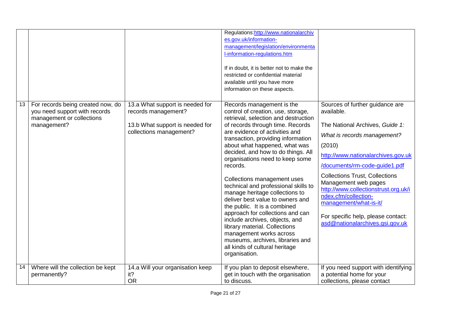|    |                                                                                                                |                                                                                                                      | Regulations: http://www.nationalarchiv<br>es.gov.uk/information-<br>management/legislation/environmenta<br>I-information-regulations.htm<br>If in doubt, it is better not to make the<br>restricted or confidential material<br>available until you have more<br>information on these aspects.                                                                                                                                                                                                                                                                                                                                                                                                                                                  |                                                                                                                                                                                                                                                                                                                                                                                                                                      |
|----|----------------------------------------------------------------------------------------------------------------|----------------------------------------------------------------------------------------------------------------------|-------------------------------------------------------------------------------------------------------------------------------------------------------------------------------------------------------------------------------------------------------------------------------------------------------------------------------------------------------------------------------------------------------------------------------------------------------------------------------------------------------------------------------------------------------------------------------------------------------------------------------------------------------------------------------------------------------------------------------------------------|--------------------------------------------------------------------------------------------------------------------------------------------------------------------------------------------------------------------------------------------------------------------------------------------------------------------------------------------------------------------------------------------------------------------------------------|
| 13 | For records being created now, do<br>you need support with records<br>management or collections<br>management? | 13.a What support is needed for<br>records management?<br>13.b What support is needed for<br>collections management? | Records management is the<br>control of creation, use, storage,<br>retrieval, selection and destruction<br>of records through time. Records<br>are evidence of activities and<br>transaction, providing information<br>about what happened, what was<br>decided, and how to do things. All<br>organisations need to keep some<br>records.<br>Collections management uses<br>technical and professional skills to<br>manage heritage collections to<br>deliver best value to owners and<br>the public. It is a combined<br>approach for collections and can<br>include archives, objects, and<br>library material. Collections<br>management works across<br>museums, archives, libraries and<br>all kinds of cultural heritage<br>organisation. | Sources of further guidance are<br>available.<br>The National Archives, Guide 1:<br>What is records management?<br>(2010)<br>http://www.nationalarchives.gov.uk<br>/documents/rm-code-guide1.pdf<br><b>Collections Trust, Collections</b><br>Management web pages<br>http://www.collectionstrust.org.uk/i<br>ndex.cfm/collection-<br>management/what-is-it/<br>For specific help, please contact:<br>asd@nationalarchives.gsi.gov.uk |
| 14 | Where will the collection be kept<br>permanently?                                                              | 14.a Will your organisation keep<br>it?<br><b>OR</b>                                                                 | If you plan to deposit elsewhere,<br>get in touch with the organisation<br>to discuss.                                                                                                                                                                                                                                                                                                                                                                                                                                                                                                                                                                                                                                                          | If you need support with identifying<br>a potential home for your<br>collections, please contact                                                                                                                                                                                                                                                                                                                                     |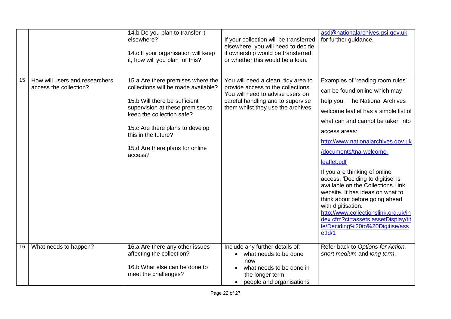|    |                                                          | 14.b Do you plan to transfer it<br>elsewhere?<br>14.c If your organisation will keep<br>it, how will you plan for this?                                                                                                                                                            | If your collection will be transferred<br>elsewhere, you will need to decide<br>if ownership would be transferred,<br>or whether this would be a loan.                                   | asd@nationalarchives.gsi.gov.uk<br>for further guidance.                                                                                                                                                                                                                                                                                                                                                                                                                                                                                                                                                             |
|----|----------------------------------------------------------|------------------------------------------------------------------------------------------------------------------------------------------------------------------------------------------------------------------------------------------------------------------------------------|------------------------------------------------------------------------------------------------------------------------------------------------------------------------------------------|----------------------------------------------------------------------------------------------------------------------------------------------------------------------------------------------------------------------------------------------------------------------------------------------------------------------------------------------------------------------------------------------------------------------------------------------------------------------------------------------------------------------------------------------------------------------------------------------------------------------|
| 15 | How will users and researchers<br>access the collection? | 15.a Are there premises where the<br>collections will be made available?<br>15.b Will there be sufficient<br>supervision at these premises to<br>keep the collection safe?<br>15.c Are there plans to develop<br>this in the future?<br>15.d Are there plans for online<br>access? | You will need a clean, tidy area to<br>provide access to the collections.<br>You will need to advise users on<br>careful handling and to supervise<br>them whilst they use the archives. | Examples of 'reading room rules'<br>can be found online which may<br>help you. The National Archives<br>welcome leaflet has a simple list of<br>what can and cannot be taken into<br>access areas:<br>http://www.nationalarchives.gov.uk<br>/documents/tna-welcome-<br>leaflet.pdf<br>If you are thinking of online<br>access, 'Deciding to digitise' is<br>available on the Collections Link<br>website. It has ideas on what to<br>think about before going ahead<br>with digitisation.<br>http://www.collectionslink.org.uk/in<br>dex.cfm?ct=assets.assetDisplay/tit<br>le/Deciding%20to%20Digitise/ass<br>etId/1 |
| 16 | What needs to happen?                                    | 16.a Are there any other issues<br>affecting the collection?<br>16.b What else can be done to<br>meet the challenges?                                                                                                                                                              | Include any further details of:<br>what needs to be done<br>now<br>what needs to be done in<br>the longer term<br>people and organisations                                               | Refer back to Options for Action,<br>short medium and long term.                                                                                                                                                                                                                                                                                                                                                                                                                                                                                                                                                     |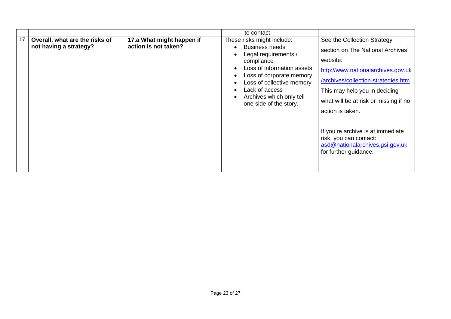|    |                                                          |                                                   | to contact.                                                                                                                   |                                                                                                                                                                                                                                                              |
|----|----------------------------------------------------------|---------------------------------------------------|-------------------------------------------------------------------------------------------------------------------------------|--------------------------------------------------------------------------------------------------------------------------------------------------------------------------------------------------------------------------------------------------------------|
| 17 | Overall, what are the risks of<br>not having a strategy? | 17.a What might happen if<br>action is not taken? | These risks might include:<br><b>Business needs</b><br>Legal requirements /<br>compliance<br>Loss of information assets       | See the Collection Strategy<br>section on The National Archives'<br>website:<br>http://www.nationalarchives.gov.uk                                                                                                                                           |
|    |                                                          |                                                   | Loss of corporate memory<br>Loss of collective memory<br>Lack of access<br>Archives which only tell<br>one side of the story. | /archives/collection-strategies.htm<br>This may help you in deciding<br>what will be at risk or missing if no<br>action is taken.<br>If you're archive is at immediate<br>risk, you can contact:<br>asd@nationalarchives.gsi.gov.uk<br>for further guidance. |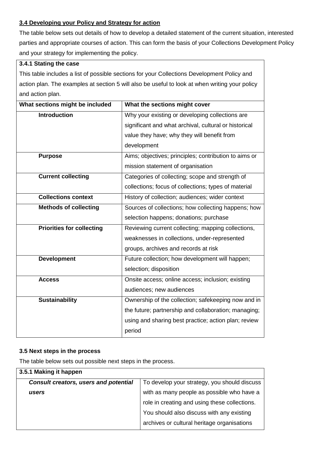# **3.4 Developing your Policy and Strategy for action**

The table below sets out details of how to develop a detailed statement of the current situation, interested parties and appropriate courses of action. This can form the basis of your Collections Development Policy and your strategy for implementing the policy.

|                                                                                                | 3.4.1 Stating the case                                |  |  |
|------------------------------------------------------------------------------------------------|-------------------------------------------------------|--|--|
| This table includes a list of possible sections for your Collections Development Policy and    |                                                       |  |  |
| action plan. The examples at section 5 will also be useful to look at when writing your policy |                                                       |  |  |
| and action plan.                                                                               |                                                       |  |  |
| What sections might be included                                                                | What the sections might cover                         |  |  |
| <b>Introduction</b>                                                                            | Why your existing or developing collections are       |  |  |
|                                                                                                | significant and what archival, cultural or historical |  |  |
|                                                                                                | value they have; why they will benefit from           |  |  |
|                                                                                                | development                                           |  |  |
| Aims; objectives; principles; contribution to aims or<br><b>Purpose</b>                        |                                                       |  |  |
|                                                                                                | mission statement of organisation                     |  |  |
| <b>Current collecting</b><br>Categories of collecting; scope and strength of                   |                                                       |  |  |
|                                                                                                | collections; focus of collections; types of material  |  |  |
| <b>Collections context</b><br>History of collection; audiences; wider context                  |                                                       |  |  |
| <b>Methods of collecting</b>                                                                   | Sources of collections; how collecting happens; how   |  |  |
|                                                                                                | selection happens; donations; purchase                |  |  |
| <b>Priorities for collecting</b>                                                               | Reviewing current collecting; mapping collections,    |  |  |
|                                                                                                | weaknesses in collections, under-represented          |  |  |
|                                                                                                | groups, archives and records at risk                  |  |  |
| <b>Development</b>                                                                             | Future collection; how development will happen;       |  |  |
|                                                                                                | selection; disposition                                |  |  |
| <b>Access</b>                                                                                  | Onsite access; online access; inclusion; existing     |  |  |
|                                                                                                | audiences; new audiences                              |  |  |
| <b>Sustainability</b>                                                                          | Ownership of the collection; safekeeping now and in   |  |  |
|                                                                                                | the future; partnership and collaboration; managing;  |  |  |
|                                                                                                | using and sharing best practice; action plan; review  |  |  |
|                                                                                                | period                                                |  |  |

# **3.5 Next steps in the process**

The table below sets out possible next steps in the process.

| 3.5.1 Making it happen                       |                                               |
|----------------------------------------------|-----------------------------------------------|
| <b>Consult creators, users and potential</b> | To develop your strategy, you should discuss  |
| users                                        | with as many people as possible who have a    |
|                                              | role in creating and using these collections. |
|                                              | You should also discuss with any existing     |
|                                              | archives or cultural heritage organisations   |
|                                              |                                               |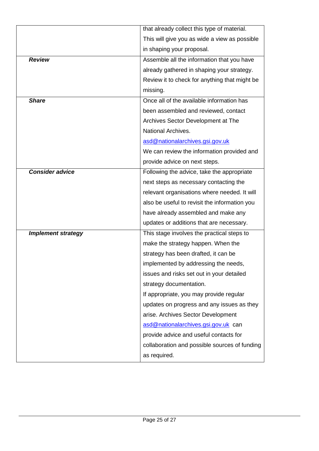|                           | that already collect this type of material.   |
|---------------------------|-----------------------------------------------|
|                           | This will give you as wide a view as possible |
|                           | in shaping your proposal.                     |
| <b>Review</b>             | Assemble all the information that you have    |
|                           | already gathered in shaping your strategy.    |
|                           | Review it to check for anything that might be |
|                           | missing.                                      |
| <b>Share</b>              | Once all of the available information has     |
|                           | been assembled and reviewed, contact          |
|                           | Archives Sector Development at The            |
|                           | <b>National Archives.</b>                     |
|                           | asd@nationalarchives.gsi.gov.uk               |
|                           | We can review the information provided and    |
|                           | provide advice on next steps.                 |
| <b>Consider advice</b>    | Following the advice, take the appropriate    |
|                           | next steps as necessary contacting the        |
|                           | relevant organisations where needed. It will  |
|                           | also be useful to revisit the information you |
|                           | have already assembled and make any           |
|                           | updates or additions that are necessary.      |
| <b>Implement strategy</b> | This stage involves the practical steps to    |
|                           | make the strategy happen. When the            |
|                           | strategy has been drafted, it can be          |
|                           | implemented by addressing the needs,          |
|                           | issues and risks set out in your detailed     |
|                           | strategy documentation.                       |
|                           | If appropriate, you may provide regular       |
|                           | updates on progress and any issues as they    |
|                           | arise. Archives Sector Development            |
|                           | asd@nationalarchives.gsi.gov.uk can           |
|                           | provide advice and useful contacts for        |
|                           | collaboration and possible sources of funding |
|                           | as required.                                  |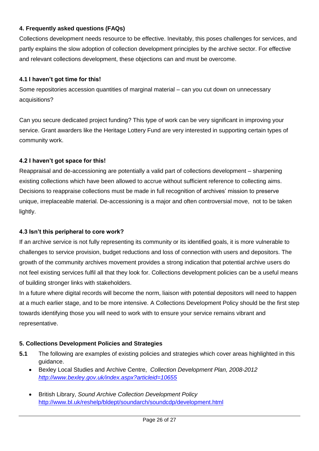# **4. Frequently asked questions (FAQs)**

Collections development needs resource to be effective. Inevitably, this poses challenges for services, and partly explains the slow adoption of collection development principles by the archive sector. For effective and relevant collections development, these objections can and must be overcome.

# **4.1 I haven't got time for this!**

Some repositories accession quantities of marginal material – can you cut down on unnecessary acquisitions?

Can you secure dedicated project funding? This type of work can be very significant in improving your service. Grant awarders like the Heritage Lottery Fund are very interested in supporting certain types of community work.

# **4.2 I haven't got space for this!**

Reappraisal and de-accessioning are potentially a valid part of collections development – sharpening existing collections which have been allowed to accrue without sufficient reference to collecting aims. Decisions to reappraise collections must be made in full recognition of archives' mission to preserve unique, irreplaceable material. De-accessioning is a major and often controversial move, not to be taken lightly.

# **4.3 Isn't this peripheral to core work?**

If an archive service is not fully representing its community or its identified goals, it is more vulnerable to challenges to service provision, budget reductions and loss of connection with users and depositors. The growth of the community archives movement provides a strong indication that potential archive users do not feel existing services fulfil all that they look for. Collections development policies can be a useful means of building stronger links with stakeholders.

In a future where digital records will become the norm, liaison with potential depositors will need to happen at a much earlier stage, and to be more intensive. A Collections Development Policy should be the first step towards identifying those you will need to work with to ensure your service remains vibrant and representative.

# **5. Collections Development Policies and Strategies**

- **5.1** The following are examples of existing policies and strategies which cover areas highlighted in this guidance.
	- Bexley Local Studies and Archive Centre, *Collection Development Plan, 2008-2012 <http://www.bexley.gov.uk/index.aspx?articleid=10655>*
	- British Library, *Sound Archive Collection Development Policy*  <http://www.bl.uk/reshelp/bldept/soundarch/soundcdp/development.html>